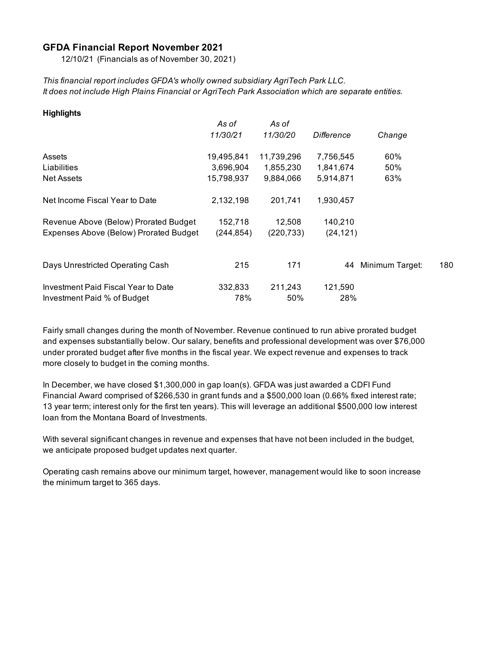#### **GFDA Financial Report November 2021**

12/10/21 (Financials as of November 30, 2021)

*This financial report includes GFDA's wholly owned subsidiary AgriTech Park LLC. It does not include High Plains Financial or AgriTech Park Association which are separate entities.*

| As of      | As of           |            |                 |     |
|------------|-----------------|------------|-----------------|-----|
| 11/30/21   | <i>11/30/20</i> | Difference | Change          |     |
| 19,495,841 | 11,739,296      | 7,756,545  | 60%             |     |
| 3,696,904  | 1,855,230       | 1,841,674  | 50%             |     |
| 15,798,937 | 9,884,066       | 5,914,871  | 63%             |     |
| 2,132,198  | 201,741         | 1,930,457  |                 |     |
| 152,718    | 12,508          | 140,210    |                 |     |
| (244, 854) | (220, 733)      | (24, 121)  |                 |     |
|            |                 |            |                 |     |
| 215        | 171             | 44         | Minimum Target: | 180 |
| 332,833    | 211,243         | 121,590    |                 |     |
| 78%        | 50%             | 28%        |                 |     |
|            |                 |            |                 |     |

Fairly small changes during the month of November. Revenue continued to run abive prorated budget and expenses substantially below. Our salary, benefits and professional development was over \$76,000 under prorated budget after five months in the fiscal year. We expect revenue and expenses to track more closely to budget in the coming months.

In December, we have closed \$1,300,000 in gap loan(s). GFDA was just awarded a CDFI Fund Financial Award comprised of \$266,530 in grant funds and a \$500,000 loan (0.66% fixed interest rate; 13 year term; interest only for the first ten years). This will leverage an additional \$500,000 low interest loan from the Montana Board of Investments.

With several significant changes in revenue and expenses that have not been included in the budget, we anticipate proposed budget updates next quarter.

Operating cash remains above our minimum target, however, management would like to soon increase the minimum target to 365 days.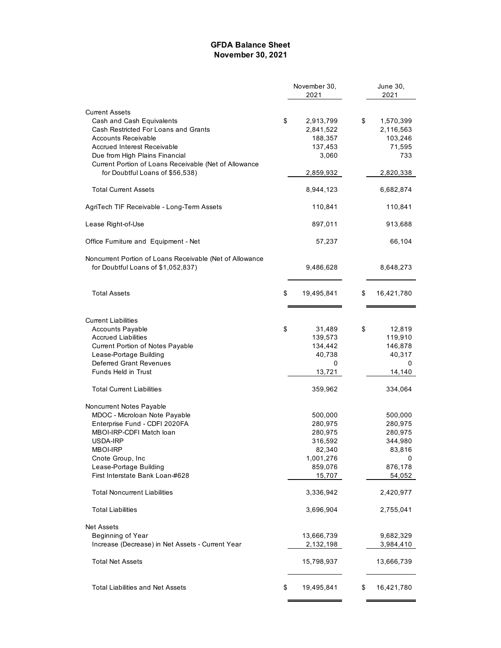#### **GFDA Balance Sheet November 30, 2021**

|                                                          | November 30,     | June 30,         |  |
|----------------------------------------------------------|------------------|------------------|--|
|                                                          | 2021             | 2021             |  |
| <b>Current Assets</b>                                    |                  |                  |  |
| Cash and Cash Equivalents                                | \$<br>2,913,799  | \$<br>1,570,399  |  |
| Cash Restricted For Loans and Grants                     | 2,841,522        | 2,116,563        |  |
| Accounts Receivable                                      | 188,357          | 103,246          |  |
| <b>Accrued Interest Receivable</b>                       | 137,453          | 71,595           |  |
| Due from High Plains Financial                           | 3,060            | 733              |  |
| Current Portion of Loans Receivable (Net of Allowance    |                  |                  |  |
| for Doubtful Loans of \$56,538)                          | 2,859,932        | 2,820,338        |  |
|                                                          |                  |                  |  |
| <b>Total Current Assets</b>                              | 8,944,123        | 6,682,874        |  |
| AgriTech TIF Receivable - Long-Term Assets               | 110,841          | 110,841          |  |
| Lease Right-of-Use                                       | 897,011          | 913,688          |  |
| Office Furniture and Equipment - Net                     | 57,237           | 66,104           |  |
| Noncurrent Portion of Loans Receivable (Net of Allowance |                  |                  |  |
| for Doubtful Loans of \$1,052,837)                       | 9,486,628        | 8,648,273        |  |
|                                                          |                  |                  |  |
| <b>Total Assets</b>                                      | \$<br>19,495,841 | \$<br>16,421,780 |  |
|                                                          |                  |                  |  |
| <b>Current Liabilities</b>                               |                  |                  |  |
| <b>Accounts Payable</b>                                  | \$<br>31,489     | \$<br>12,819     |  |
| <b>Accrued Liabilities</b>                               | 139,573          | 119,910          |  |
| Current Portion of Notes Payable                         | 134,442          | 146,878          |  |
| Lease-Portage Building                                   | 40,738           | 40,317           |  |
| Deferred Grant Revenues                                  | 0                | 0                |  |
| Funds Held in Trust                                      | 13,721           | 14,140           |  |
|                                                          |                  |                  |  |
| <b>Total Current Liabilities</b>                         | 359,962          | 334,064          |  |
| Noncurrent Notes Payable                                 |                  |                  |  |
| MDOC - Microloan Note Payable                            | 500,000          | 500,000          |  |
| Enterprise Fund - CDFI 2020FA                            | 280,975          | 280,975          |  |
| MBOI-IRP-CDFI Match loan                                 | 280,975          | 280,975          |  |
| USDA-IRP                                                 | 316,592          | 344,980          |  |
| MBOI-IRP                                                 | 82,340           | 83,816           |  |
| Cnote Group, Inc                                         | 1,001,276        | 0                |  |
| Lease-Portage Building                                   | 859,076          | 876,178          |  |
| First Interstate Bank Loan-#628                          | 15,707           | 54,052           |  |
| <b>Total Noncurrent Liabilities</b>                      | 3,336,942        | 2,420,977        |  |
| <b>Total Liabilities</b>                                 | 3,696,904        | 2,755,041        |  |
| <b>Net Assets</b>                                        |                  |                  |  |
| Beginning of Year                                        | 13,666,739       | 9,682,329        |  |
| Increase (Decrease) in Net Assets - Current Year         | 2,132,198        | 3,984,410        |  |
| <b>Total Net Assets</b>                                  | 15,798,937       | 13,666,739       |  |
| <b>Total Liabilities and Net Assets</b>                  | \$<br>19,495,841 | \$<br>16,421,780 |  |
|                                                          |                  |                  |  |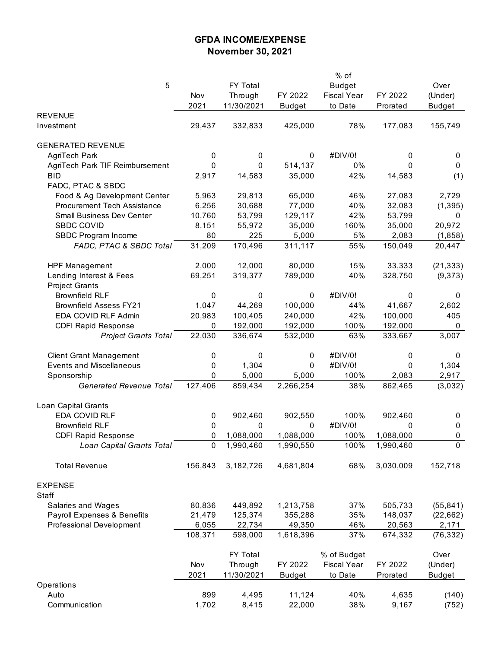# **GFDA INCOME/EXPENSE November 30, 2021**

|                                    |           |            |               | % of               |           |               |
|------------------------------------|-----------|------------|---------------|--------------------|-----------|---------------|
| 5                                  |           | FY Total   |               | <b>Budget</b>      |           | Over          |
|                                    | Nov       | Through    | FY 2022       | <b>Fiscal Year</b> | FY 2022   | (Under)       |
|                                    | 2021      | 11/30/2021 | <b>Budget</b> | to Date            | Prorated  | <b>Budget</b> |
| <b>REVENUE</b>                     |           |            |               |                    |           |               |
| Investment                         | 29,437    | 332,833    | 425,000       | 78%                | 177,083   | 155,749       |
|                                    |           |            |               |                    |           |               |
| <b>GENERATED REVENUE</b>           |           |            |               |                    |           |               |
| AgriTech Park                      | 0         | 0          | $\pmb{0}$     | #DIV/0!            |           | 0             |
|                                    |           |            |               |                    | 0         |               |
| AgriTech Park TIF Reimbursement    | 0         | 0          | 514,137       | 0%                 | 0         | 0             |
| <b>BID</b>                         | 2,917     | 14,583     | 35,000        | 42%                | 14,583    | (1)           |
| FADC, PTAC & SBDC                  |           |            |               |                    |           |               |
| Food & Ag Development Center       | 5,963     | 29,813     | 65,000        | 46%                | 27,083    | 2,729         |
| <b>Procurement Tech Assistance</b> | 6,256     | 30,688     | 77,000        | 40%                | 32,083    | (1, 395)      |
| <b>Small Business Dev Center</b>   | 10,760    | 53,799     | 129,117       | 42%                | 53,799    | 0             |
| <b>SBDC COVID</b>                  | 8,151     | 55,972     | 35,000        | 160%               | 35,000    | 20,972        |
| SBDC Program Income                | 80        | 225        | 5,000         | 5%                 | 2,083     | (1,858)       |
| FADC, PTAC & SBDC Total            | 31,209    | 170,496    | 311,117       | 55%                | 150,049   | 20,447        |
|                                    |           |            |               |                    |           |               |
| <b>HPF Management</b>              | 2,000     | 12,000     | 80,000        | 15%                | 33,333    | (21, 333)     |
| Lending Interest & Fees            | 69,251    | 319,377    | 789,000       | 40%                | 328,750   | (9,373)       |
| <b>Project Grants</b>              |           |            |               |                    |           |               |
| <b>Brownfield RLF</b>              | 0         | 0          | 0             | #DIV/0!            | 0         | 0             |
| <b>Brownfield Assess FY21</b>      | 1,047     | 44,269     | 100,000       | 44%                | 41,667    | 2,602         |
| EDA COVID RLF Admin                |           |            |               | 42%                |           | 405           |
|                                    | 20,983    | 100,405    | 240,000       |                    | 100,000   |               |
| <b>CDFI Rapid Response</b>         | 0         | 192,000    | 192,000       | 100%               | 192,000   | 0             |
| <b>Project Grants Total</b>        | 22,030    | 336,674    | 532,000       | 63%                | 333,667   | 3,007         |
|                                    |           |            |               |                    |           |               |
| <b>Client Grant Management</b>     | 0         | 0          | 0             | #DIV/0!            | 0         | 0             |
| <b>Events and Miscellaneous</b>    | 0         | 1,304      | 0             | #DIV/0!            | 0         | 1,304         |
| Sponsorship                        | 0         | 5,000      | 5,000         | 100%               | 2,083     | 2,917         |
| <b>Generated Revenue Total</b>     | 127,406   | 859,434    | 2,266,254     | 38%                | 862,465   | (3,032)       |
|                                    |           |            |               |                    |           |               |
| Loan Capital Grants                |           |            |               |                    |           |               |
| EDA COVID RLF                      | 0         | 902,460    | 902,550       | 100%               | 902,460   | 0             |
| <b>Brownfield RLF</b>              | $\pmb{0}$ | 0          | 0             | #DIV/0!            | 0         | $\pmb{0}$     |
| <b>CDFI Rapid Response</b>         | 0         | 1,088,000  | 1,088,000     | 100%               | 1,088,000 | 0             |
| Loan Capital Grants Total          | 0         | 1,990,460  | 1,990,550     | 100%               | 1,990,460 | 0             |
|                                    |           |            |               |                    |           |               |
| <b>Total Revenue</b>               | 156,843   | 3,182,726  | 4,681,804     | 68%                | 3,030,009 | 152,718       |
|                                    |           |            |               |                    |           |               |
| <b>EXPENSE</b>                     |           |            |               |                    |           |               |
| Staff                              |           |            |               |                    |           |               |
| Salaries and Wages                 | 80,836    | 449,892    | 1,213,758     | 37%                | 505,733   | (55, 841)     |
| Payroll Expenses & Benefits        | 21,479    | 125,374    | 355,288       | 35%                | 148,037   | (22, 662)     |
| Professional Development           | 6,055     | 22,734     | 49,350        | 46%                | 20,563    | 2,171         |
|                                    | 108,371   | 598,000    | 1,618,396     | 37%                | 674,332   | (76, 332)     |
|                                    |           |            |               |                    |           |               |
|                                    |           | FY Total   |               | % of Budget        |           | Over          |
|                                    | Nov       | Through    | FY 2022       | <b>Fiscal Year</b> | FY 2022   | (Under)       |
|                                    | 2021      | 11/30/2021 | <b>Budget</b> | to Date            | Prorated  | <b>Budget</b> |
| Operations                         |           |            |               |                    |           |               |
| Auto                               | 899       | 4,495      | 11,124        | 40%                | 4,635     | (140)         |
| Communication                      | 1,702     | 8,415      | 22,000        | 38%                | 9,167     | (752)         |
|                                    |           |            |               |                    |           |               |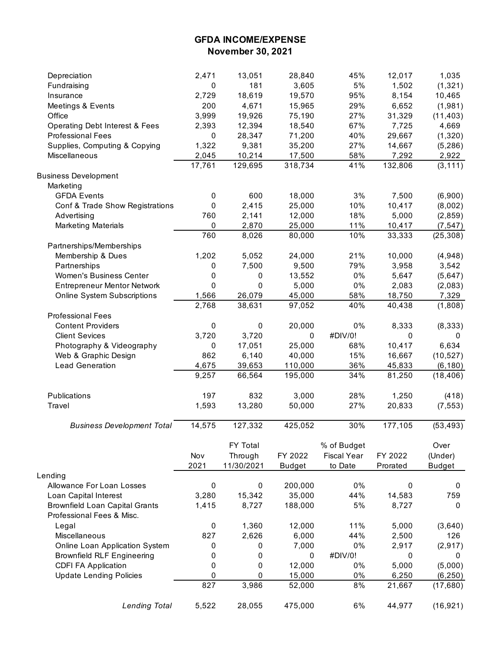## **GFDA INCOME/EXPENSE November 30, 2021**

| Depreciation                              | 2,471     | 13,051     | 28,840        | 45%                | 12,017   | 1,035         |
|-------------------------------------------|-----------|------------|---------------|--------------------|----------|---------------|
| Fundraising                               | 0         | 181        | 3,605         | $5\%$              | 1,502    | (1, 321)      |
| Insurance                                 | 2,729     | 18,619     | 19,570        | 95%                | 8,154    | 10,465        |
| Meetings & Events                         | 200       | 4,671      | 15,965        | 29%                | 6,652    | (1,981)       |
| Office                                    | 3,999     | 19,926     | 75,190        | 27%                | 31,329   | (11, 403)     |
| <b>Operating Debt Interest &amp; Fees</b> | 2,393     | 12,394     | 18,540        | 67%                | 7,725    | 4,669         |
| <b>Professional Fees</b>                  | 0         | 28,347     | 71,200        | 40%                | 29,667   | (1,320)       |
| Supplies, Computing & Copying             | 1,322     | 9,381      | 35,200        | 27%                | 14,667   | (5, 286)      |
| Miscellaneous                             | 2,045     | 10,214     | 17,500        | 58%                | 7,292    | 2,922         |
|                                           | 17,761    | 129,695    | 318,734       | 41%                | 132,806  | (3, 111)      |
| <b>Business Development</b>               |           |            |               |                    |          |               |
| Marketing                                 |           |            |               |                    |          |               |
| <b>GFDA Events</b>                        | 0         | 600        | 18,000        | 3%                 | 7,500    | (6,900)       |
| Conf & Trade Show Registrations           | 0         | 2,415      | 25,000        | 10%                | 10,417   | (8,002)       |
| Advertising                               | 760       | 2,141      | 12,000        | 18%                | 5,000    | (2, 859)      |
| <b>Marketing Materials</b>                | 0         | 2,870      | 25,000        | 11%                | 10,417   | (7, 547)      |
|                                           | 760       | 8,026      | 80,000        | 10%                | 33,333   | (25, 308)     |
| Partnerships/Memberships                  |           |            |               |                    |          |               |
| Membership & Dues                         | 1,202     | 5,052      | 24,000        | 21%                | 10,000   | (4,948)       |
| Partnerships                              | $\pmb{0}$ | 7,500      | 9,500         | 79%                | 3,958    | 3,542         |
| Women's Business Center                   | 0         | $\pmb{0}$  | 13,552        | $0\%$              | 5,647    | (5,647)       |
| <b>Entrepreneur Mentor Network</b>        | 0         | $\pmb{0}$  | 5,000         | $0\%$              | 2,083    | (2,083)       |
| <b>Online System Subscriptions</b>        | 1,566     | 26,079     | 45,000        | 58%                | 18,750   | 7,329         |
|                                           | 2,768     | 38,631     | 97,052        | 40%                | 40,438   | (1,808)       |
| <b>Professional Fees</b>                  |           |            |               |                    |          |               |
| <b>Content Providers</b>                  | 0         | $\pmb{0}$  | 20,000        | 0%                 | 8,333    | (8, 333)      |
| <b>Client Sevices</b>                     | 3,720     | 3,720      | 0             | #DIV/0!            | 0        | 0             |
| Photography & Videography                 | 0         | 17,051     | 25,000        | 68%                | 10,417   | 6,634         |
| Web & Graphic Design                      | 862       | 6,140      | 40,000        | 15%                | 16,667   | (10, 527)     |
| <b>Lead Generation</b>                    | 4,675     | 39,653     | 110,000       | 36%                | 45,833   | (6, 180)      |
|                                           | 9,257     | 66,564     | 195,000       | 34%                | 81,250   | (18, 406)     |
|                                           |           |            |               |                    |          |               |
| Publications                              | 197       | 832        | 3,000         | 28%                | 1,250    | (418)         |
| Travel                                    | 1,593     | 13,280     | 50,000        | 27%                | 20,833   | (7, 553)      |
|                                           |           |            |               |                    |          |               |
| <b>Business Development Total</b>         | 14,575    | 127,332    | 425,052       | 30%                | 177,105  | (53, 493)     |
|                                           |           |            |               |                    |          |               |
|                                           |           | FY Total   |               | % of Budget        |          | Over          |
|                                           | Nov       | Through    | FY 2022       | <b>Fiscal Year</b> | FY 2022  | (Under)       |
|                                           | 2021      | 11/30/2021 | <b>Budget</b> | to Date            | Prorated | <b>Budget</b> |
| Lending                                   |           |            |               |                    |          |               |
| Allowance For Loan Losses                 | $\pmb{0}$ | $\pmb{0}$  | 200,000       | 0%                 | 0        | 0             |
| Loan Capital Interest                     | 3,280     | 15,342     | 35,000        | 44%                | 14,583   | 759           |
| <b>Brownfield Loan Capital Grants</b>     | 1,415     | 8,727      | 188,000       | 5%                 | 8,727    | 0             |
| Professional Fees & Misc.                 |           |            |               |                    |          |               |
| Legal                                     | 0         | 1,360      | 12,000        | 11%                | 5,000    | (3,640)       |
| Miscellaneous                             | 827       | 2,626      | 6,000         | 44%                | 2,500    | 126           |
| Online Loan Application System            | 0         | 0          | 7,000         | $0\%$              | 2,917    | (2, 917)      |
| <b>Brownfield RLF Engineering</b>         | 0         | 0          | 0             | #DIV/0!            | 0        | 0             |
| <b>CDFI FA Application</b>                | 0         | 0          | 12,000        | 0%                 | 5,000    | (5,000)       |
| <b>Update Lending Policies</b>            | 0         | 0          | 15,000        | 0%                 | 6,250    | (6, 250)      |
|                                           | 827       | 3,986      | 52,000        | 8%                 | 21,667   | (17,680)      |
|                                           |           |            |               |                    |          |               |
| <b>Lending Total</b>                      | 5,522     | 28,055     | 475,000       | 6%                 | 44,977   | (16, 921)     |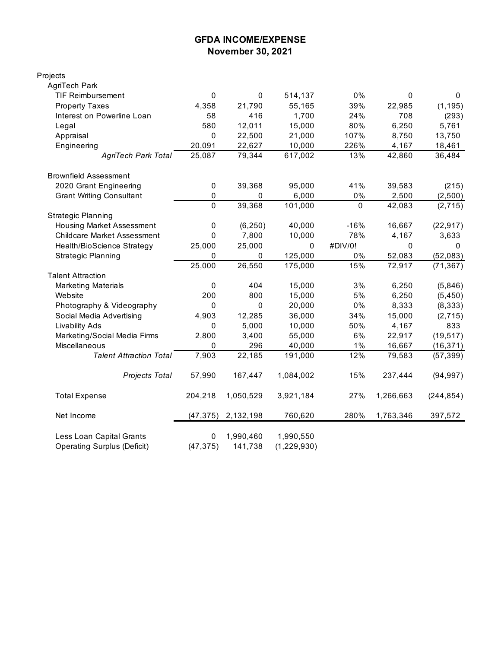### **GFDA INCOME/EXPENSE November 30, 2021**

| Projects                           |                |             |               |              |           |              |
|------------------------------------|----------------|-------------|---------------|--------------|-----------|--------------|
| AgriTech Park                      |                |             |               |              |           |              |
| <b>TIF Reimbursement</b>           | 0              | $\mathbf 0$ | 514,137       | 0%           | 0         | $\mathbf{0}$ |
| <b>Property Taxes</b>              | 4,358          | 21,790      | 55,165        | 39%          | 22,985    | (1, 195)     |
| Interest on Powerline Loan         | 58             | 416         | 1,700         | 24%          | 708       | (293)        |
| Legal                              | 580            | 12,011      | 15,000        | 80%          | 6,250     | 5,761        |
| Appraisal                          | 0              | 22,500      | 21,000        | 107%         | 8,750     | 13,750       |
| Engineering                        | 20,091         | 22,627      | 10,000        | 226%         | 4,167     | 18,461       |
| <b>AgriTech Park Total</b>         | 25,087         | 79,344      | 617,002       | 13%          | 42,860    | 36,484       |
| <b>Brownfield Assessment</b>       |                |             |               |              |           |              |
| 2020 Grant Engineering             | 0              | 39,368      | 95,000        | 41%          | 39,583    | (215)        |
| <b>Grant Writing Consultant</b>    | 0              | 0           | 6,000         | 0%           | 2,500     | (2,500)      |
|                                    | $\overline{0}$ | 39,368      | 101,000       | $\mathbf{0}$ | 42,083    | (2, 715)     |
| <b>Strategic Planning</b>          |                |             |               |              |           |              |
| <b>Housing Market Assessment</b>   | 0              | (6, 250)    | 40,000        | $-16%$       | 16,667    | (22, 917)    |
| <b>Childcare Market Assessment</b> | 0              | 7,800       | 10,000        | 78%          | 4,167     | 3,633        |
| Health/BioScience Strategy         | 25,000         | 25,000      | 0             | #DIV/0!      | 0         | $\mathbf{0}$ |
| <b>Strategic Planning</b>          | 0              | 0           | 125,000       | 0%           | 52,083    | (52,083)     |
|                                    | 25,000         | 26,550      | 175,000       | 15%          | 72,917    | (71, 367)    |
| <b>Talent Attraction</b>           |                |             |               |              |           |              |
| <b>Marketing Materials</b>         | 0              | 404         | 15,000        | 3%           | 6,250     | (5,846)      |
| Website                            | 200            | 800         | 15,000        | 5%           | 6,250     | (5, 450)     |
| Photography & Videography          | 0              | 0           | 20,000        | $0\%$        | 8,333     | (8, 333)     |
| Social Media Advertising           | 4,903          | 12,285      | 36,000        | 34%          | 15,000    | (2, 715)     |
| <b>Livability Ads</b>              | 0              | 5,000       | 10,000        | 50%          | 4,167     | 833          |
| Marketing/Social Media Firms       | 2,800          | 3,400       | 55,000        | 6%           | 22,917    | (19, 517)    |
| Miscellaneous                      | 0              | 296         | 40,000        | $1\%$        | 16,667    | (16, 371)    |
| <b>Talent Attraction Total</b>     | 7,903          | 22,185      | 191,000       | 12%          | 79,583    | (57, 399)    |
| Projects Total                     | 57,990         | 167,447     | 1,084,002     | 15%          | 237,444   | (94, 997)    |
| <b>Total Expense</b>               | 204,218        | 1,050,529   | 3,921,184     | 27%          | 1,266,663 | (244, 854)   |
| Net Income                         | (47, 375)      | 2,132,198   | 760,620       | 280%         | 1,763,346 | 397,572      |
| Less Loan Capital Grants           | 0              | 1,990,460   | 1,990,550     |              |           |              |
| <b>Operating Surplus (Deficit)</b> | (47, 375)      | 141,738     | (1, 229, 930) |              |           |              |